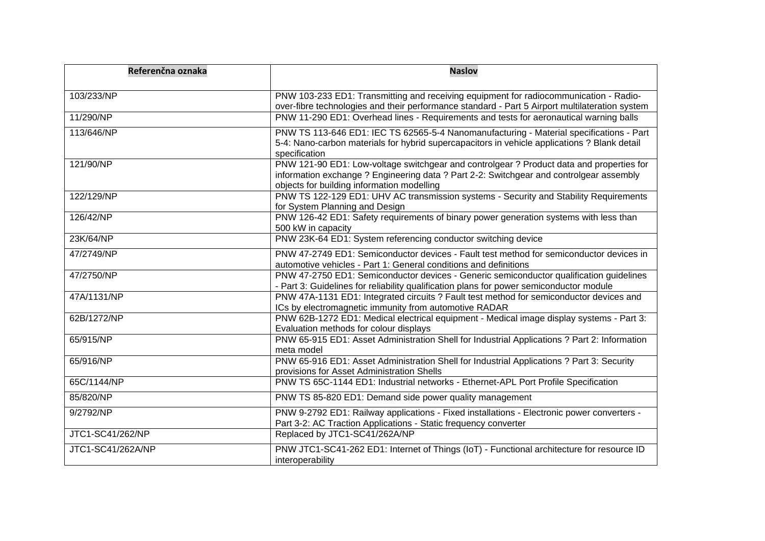| Referenčna oznaka | <b>Naslov</b>                                                                                                                                                                                                                     |
|-------------------|-----------------------------------------------------------------------------------------------------------------------------------------------------------------------------------------------------------------------------------|
| 103/233/NP        | PNW 103-233 ED1: Transmitting and receiving equipment for radiocommunication - Radio-<br>over-fibre technologies and their performance standard - Part 5 Airport multilateration system                                           |
| 11/290/NP         | PNW 11-290 ED1: Overhead lines - Requirements and tests for aeronautical warning balls                                                                                                                                            |
| 113/646/NP        | PNW TS 113-646 ED1: IEC TS 62565-5-4 Nanomanufacturing - Material specifications - Part<br>5-4: Nano-carbon materials for hybrid supercapacitors in vehicle applications ? Blank detail<br>specification                          |
| 121/90/NP         | PNW 121-90 ED1: Low-voltage switchgear and controlgear ? Product data and properties for<br>information exchange ? Engineering data ? Part 2-2: Switchgear and controlgear assembly<br>objects for building information modelling |
| 122/129/NP        | PNW TS 122-129 ED1: UHV AC transmission systems - Security and Stability Requirements<br>for System Planning and Design                                                                                                           |
| 126/42/NP         | PNW 126-42 ED1: Safety requirements of binary power generation systems with less than<br>500 kW in capacity                                                                                                                       |
| 23K/64/NP         | PNW 23K-64 ED1: System referencing conductor switching device                                                                                                                                                                     |
| 47/2749/NP        | PNW 47-2749 ED1: Semiconductor devices - Fault test method for semiconductor devices in<br>automotive vehicles - Part 1: General conditions and definitions                                                                       |
| 47/2750/NP        | PNW 47-2750 ED1: Semiconductor devices - Generic semiconductor qualification guidelines<br>- Part 3: Guidelines for reliability qualification plans for power semiconductor module                                                |
| 47A/1131/NP       | PNW 47A-1131 ED1: Integrated circuits ? Fault test method for semiconductor devices and<br>ICs by electromagnetic immunity from automotive RADAR                                                                                  |
| 62B/1272/NP       | PNW 62B-1272 ED1: Medical electrical equipment - Medical image display systems - Part 3:<br>Evaluation methods for colour displays                                                                                                |
| 65/915/NP         | PNW 65-915 ED1: Asset Administration Shell for Industrial Applications ? Part 2: Information<br>meta model                                                                                                                        |
| 65/916/NP         | PNW 65-916 ED1: Asset Administration Shell for Industrial Applications ? Part 3: Security<br>provisions for Asset Administration Shells                                                                                           |
| 65C/1144/NP       | PNW TS 65C-1144 ED1: Industrial networks - Ethernet-APL Port Profile Specification                                                                                                                                                |
| 85/820/NP         | PNW TS 85-820 ED1: Demand side power quality management                                                                                                                                                                           |
| 9/2792/NP         | PNW 9-2792 ED1: Railway applications - Fixed installations - Electronic power converters -<br>Part 3-2: AC Traction Applications - Static frequency converter                                                                     |
| JTC1-SC41/262/NP  | Replaced by JTC1-SC41/262A/NP                                                                                                                                                                                                     |
| JTC1-SC41/262A/NP | PNW JTC1-SC41-262 ED1: Internet of Things (IoT) - Functional architecture for resource ID<br>interoperability                                                                                                                     |